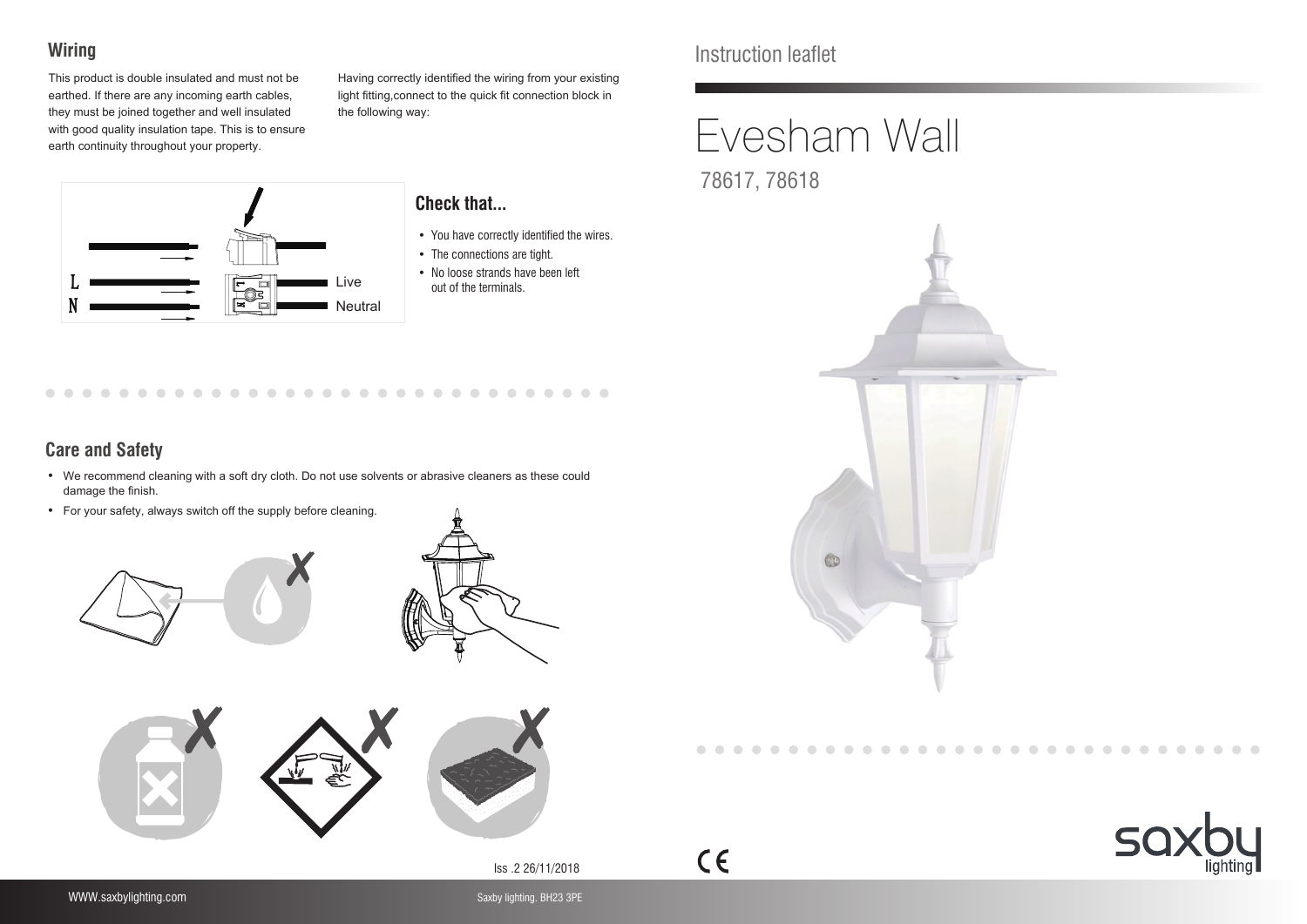## **Wiring**

This product is double insulated and must not be earthed. If there are any incoming earth cables, they must be joined together and well insulated with good quality insulation tape. This is to ensure earth continuity throughout your property.



#### Having correctly identified the wiring from your existing light fitting,connect to the quick fit connection block in the following way:

#### **Check that...**

- You have correctly identified the wires.
- The connections are tight.
- No loose strands have been left out of the terminals.

### **Care and Safety**

 $\sqrt{2}$ 

 $\bullet$   $\bullet$ 

- We recommend cleaning with a soft dry cloth. Do not use solvents or abrasive cleaners as these could damage the finish.
- For your safety, always switch off the supply before cleaning.

 $\cdots$ 





. . . . . . . . . . . . . . . . .



Iss .2 26/11/2018

 $C \in$ 

# Instruction leaflet

# Evesham Wall 78617, 78618